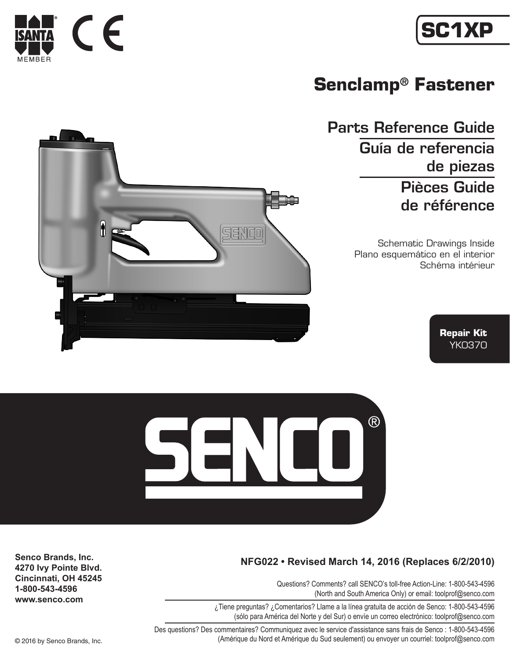



## **Senclamp® Fastener**

Parts Reference Guide Guía de referencia de piezas Pièces Guide de référence

> Schematic Drawings Inside Plano esquemático en el interior Schéma intérieur







## **NFG022 • Revised March 14, 2016 (Replaces 6/2/2010)**

Questions? Comments? call SENCO's toll-free Action-Line: 1-800-543-4596 (North and South America Only) or email: toolprof@senco.com

¿Tiene preguntas? ¿Comentarios? Llame a la línea gratuita de acción de Senco: 1-800-543-4596 (sólo para América del Norte y del Sur) o envíe un correo electrónico: toolprof@senco.com

Des questions? Des commentaires? Communiquez avec le service d'assistance sans frais de Senco : 1-800-543-4596 © 2016 by Senco Brands, Inc. (Amérique du Nord et Amérique du Sud seulement) ou envoyer un courriel: toolprof@senco.com

**Senco Brands, Inc. 4270 Ivy Pointe Blvd. Cincinnati, OH 45245 1-800-543-4596 www.senco.com**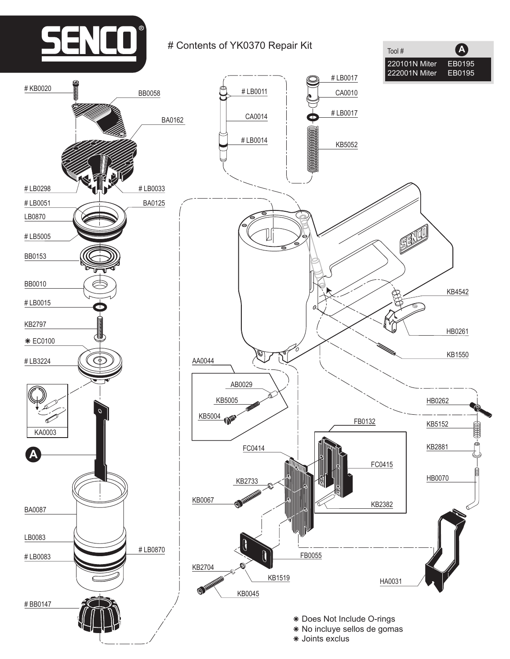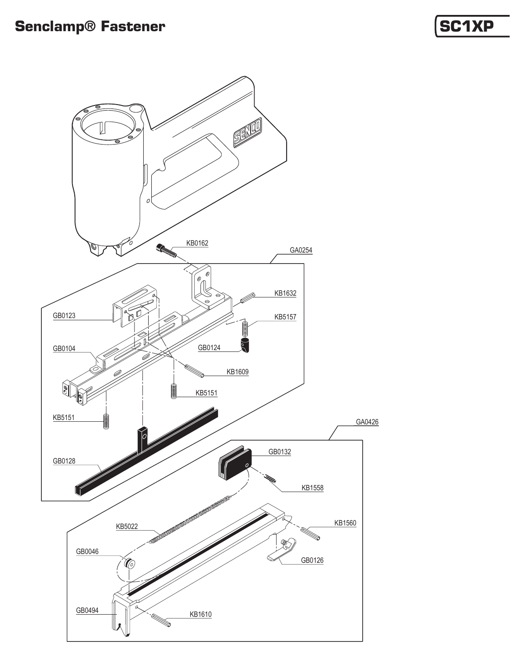